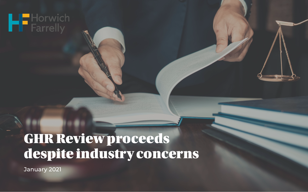## **HE** Horwich

## GHR Review proceeds despite industry concerns

January 2021

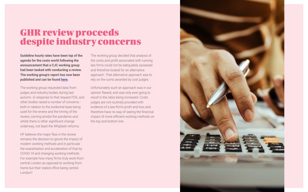**Guideline hourly rates have been top of the agenda for the costs world following the announcement that a CJC working group had been tasked with conducting a review. The working group's report has now been published and can be found [here.](https://www.judiciary.uk/wp-content/uploads/2021/01/20210108-GHR-Report-for-consultation-FINAL.pdf)**

The working group requested data from judges and industry bodies during last autumn. In response to that request FOIL and other bodies raised a number of concerns both in relation to the evidential base being used for the review and the timing of the review, coming amidst the pandemic and whilst there is other significant change underway, not least the Whiplash reforms.

HF believes the major flaw in the review remains the decision to ignore the impact of modern working methods and in particular the exacerbation and acceleration of that by COVID-19 and changing working methods. For example how many firms truly work from central London as opposed to working from home but their stated office being central London?

The working group decided that analysis of the costs and profit associated with running law firms could not be adequately asssesed and therefore looked for an alternative approach. That alternative approach was to rely on the sums awarded by cost judges. 

Unfortunately such an approach was in our opinion flawed, and was only ever going to result in the rates being increased. Costs judges are not routinely provided with evidence of a law firm's profit and loss and therefore have no way of seeing the financial impact of more efficient working methods on the top and bottom line.



## GHR review proceeds despite industry concerns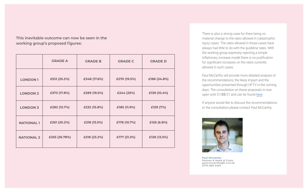|                   | <b>GRADE A</b> | <b>GRADE B</b> | <b>GRADE C</b> | <b>GRADE D</b> |
|-------------------|----------------|----------------|----------------|----------------|
| <b>LONDON 1</b>   | £512 (25.2%)   | £348 (17.6%)   | £270 (19.5%)   | £186 (34.8%)   |
| <b>LONDON 2</b>   | £373 (17.8%)   | £289 (19.5%)   | £244 (25%)     | £139 (10.4%)   |
| <b>LONDON 3</b>   | £282 (13.7%)   | £232 (15.8%)   | £185 (11.9%)   | £129 (7%)      |
| <b>NATIONAL 1</b> | £261 (20.2%)   | £218 (13.5%)   | £178 (10.7%)   | £126 (6.8%)    |
| <b>NATIONAL 2</b> | £255 (26.78%)  | £218 (23.2%)   | £177 (21.3%)   | £126 (13.5%)   |

**This inevitable outcome can now be seen in the working group's proposed figures:**

> Paul McCarthy will provide more detailed analysis of the recommendations, the likely impact and the opportunities presented through HFTV in the coming days. The consultation on these proposals is now open until 31/03/21 and can be found [here.](https://forms.office.com/Pages/ResponsePage.aspx?id=KEeHxuZx_kGp4S6MNndq2D9fyoof86xDjqmUjF03eRNUOTJXTDNPUElZUFJVM0NIR0NEOFY3WFRaQS4u)

There is also a strong case for there being no material change to the rates allowed in catastrophic injury cases. The rates allowed in those cases have always had little to do with the guideline rates. With the working group expressly rejecting a simple inflationary increase model there is no justification for significant increases on the rates currently allowed in such cases.

If anyone would like to discuss the recommendations or the consultation please contact Paul McCarthy.



**Paul McCarthy 0774 869 2454**

**Partner & Head of Costs paul.mccarthy@h-f.co.uk**